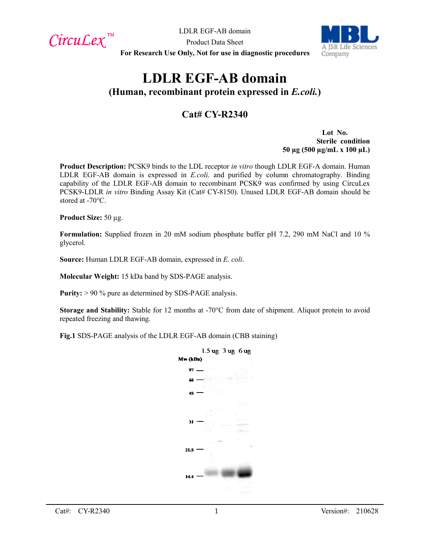$Circu$ *Lex*™

LDLR EGF-AB domain



Product Data Sheet **For Research Use Only, Not for use in diagnostic procedures**

# **LDLR EGF-AB domain**

**(Human, recombinant protein expressed in** *E.coli.***)**

## **Cat# CY-R2340**

**Lot No. Sterile condition 50 µg (500 µg/mL x 100 µL)**

**Product Description:** PCSK9 binds to the LDL receptor *in vitro* though LDLR EGF-A domain. Human LDLR EGF-AB domain is expressed in *E.coli*. and purified by column chromatography. Binding capability of the LDLR EGF-AB domain to recombinant PCSK9 was confirmed by using CircuLex PCSK9-LDLR *in vitro* Binding Assay Kit (Cat# CY-8150). Unused LDLR EGF-AB domain should be stored at -70°C.

**Product Size:** 50 µg.

**Formulation:** Supplied frozen in 20 mM sodium phosphate buffer pH 7.2, 290 mM NaCl and 10 % glycerol.

**Source:** Human LDLR EGF-AB domain, expressed in *E. coli*.

**Molecular Weight:** 15 kDa band by SDS-PAGE analysis.

**Purity:** > 90 % pure as determined by SDS-PAGE analysis.

**Storage and Stability:** Stable for 12 months at -70°C from date of shipment. Aliquot protein to avoid repeated freezing and thawing.

**Fig.1** SDS-PAGE analysis of the LDLR EGF-AB domain (CBB staining)